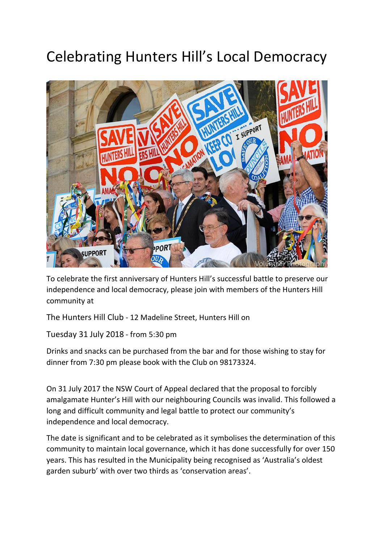## Celebrating Hunters Hill's Local Democracy



To celebrate the first anniversary of Hunters Hill's successful battle to preserve our independence and local democracy, please join with members of the Hunters Hill community at

The Hunters Hill Club - 12 Madeline Street, Hunters Hill on

Tuesday 31 July 2018 - from 5:30 pm

Drinks and snacks can be purchased from the bar and for those wishing to stay for dinner from 7:30 pm please book with the Club on 98173324.

On 31 July 2017 the NSW Court of Appeal declared that the proposal to forcibly amalgamate Hunter's Hill with our neighbouring Councils was invalid. This followed a long and difficult community and legal battle to protect our community's independence and local democracy.

The date is significant and to be celebrated as it symbolises the determination of this community to maintain local governance, which it has done successfully for over 150 years. This has resulted in the Municipality being recognised as 'Australia's oldest garden suburb' with over two thirds as 'conservation areas'.